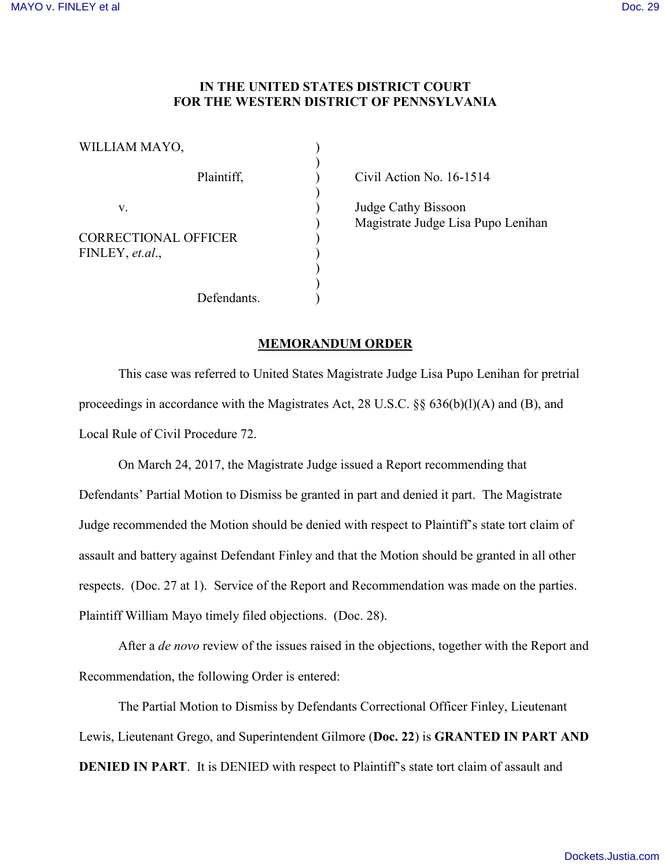## **IN THE UNITED STATES DISTRICT COURT FOR THE WESTERN DISTRICT OF PENNSYLVANIA**

| WILLIAM MAYO,                                  |  |
|------------------------------------------------|--|
| Plaintiff,                                     |  |
| V.                                             |  |
| <b>CORRECTIONAL OFFICER</b><br>FINLEY, et.al., |  |
|                                                |  |
| Defendants.                                    |  |

Civil Action No.  $16-1514$ 

Judge Cathy Bissoon ) Magistrate Judge Lisa Pupo Lenihan

## **MEMORANDUM ORDER**

This case was referred to United States Magistrate Judge Lisa Pupo Lenihan for pretrial proceedings in accordance with the Magistrates Act, 28 U.S.C. §§ 636(b)(l)(A) and (B), and Local Rule of Civil Procedure 72.

On March 24, 2017, the Magistrate Judge issued a Report recommending that Defendants' Partial Motion to Dismiss be granted in part and denied it part. The Magistrate Judge recommended the Motion should be denied with respect to Plaintiff's state tort claim of assault and battery against Defendant Finley and that the Motion should be granted in all other respects. (Doc. 27 at 1). Service of the Report and Recommendation was made on the parties. Plaintiff William Mayo timely filed objections. (Doc. 28).

After a *de novo* review of the issues raised in the objections, together with the Report and Recommendation, the following Order is entered:

The Partial Motion to Dismiss by Defendants Correctional Officer Finley, Lieutenant Lewis, Lieutenant Grego, and Superintendent Gilmore (**Doc. 22**) is **GRANTED IN PART AND DENIED IN PART**. It is DENIED with respect to Plaintiff's state tort claim of assault and